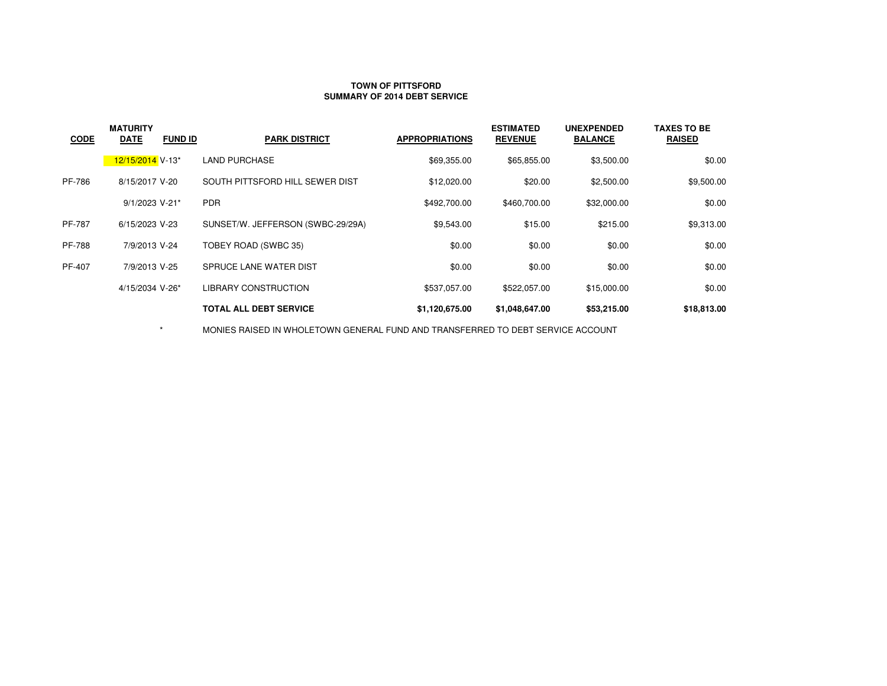## **TOWN OF PITTSFORDSUMMARY OF 2014 DEBT SERVICE**

| <b>CODE</b>   | <b>MATURITY</b><br><b>DATE</b><br><b>FUND ID</b> | <b>PARK DISTRICT</b>              | <b>APPROPRIATIONS</b> | <b>ESTIMATED</b><br><b>REVENUE</b> | <b>UNEXPENDED</b><br><b>BALANCE</b> | <b>TAXES TO BE</b><br><b>RAISED</b> |
|---------------|--------------------------------------------------|-----------------------------------|-----------------------|------------------------------------|-------------------------------------|-------------------------------------|
|               | 12/15/2014 V-13*                                 | LAND PURCHASE                     | \$69,355.00           | \$65,855.00                        | \$3,500.00                          | \$0.00                              |
| PF-786        | 8/15/2017 V-20                                   | SOUTH PITTSFORD HILL SEWER DIST   | \$12,020.00           | \$20.00                            | \$2,500.00                          | \$9,500.00                          |
|               | 9/1/2023 V-21*                                   | <b>PDR</b>                        | \$492,700.00          | \$460,700.00                       | \$32,000.00                         | \$0.00                              |
| <b>PF-787</b> | 6/15/2023 V-23                                   | SUNSET/W. JEFFERSON (SWBC-29/29A) | \$9,543.00            | \$15.00                            | \$215.00                            | \$9,313.00                          |
| <b>PF-788</b> | 7/9/2013 V-24                                    | TOBEY ROAD (SWBC 35)              | \$0.00                | \$0.00                             | \$0.00                              | \$0.00                              |
| PF-407        | 7/9/2013 V-25                                    | SPRUCE LANE WATER DIST            | \$0.00                | \$0.00                             | \$0.00                              | \$0.00                              |
|               | 4/15/2034 V-26*                                  | <b>LIBRARY CONSTRUCTION</b>       | \$537,057.00          | \$522,057.00                       | \$15,000.00                         | \$0.00                              |
|               |                                                  | <b>TOTAL ALL DEBT SERVICE</b>     | \$1,120,675.00        | \$1,048,647.00                     | \$53,215.00                         | \$18,813.00                         |

 $\star$ MONIES RAISED IN WHOLETOWN GENERAL FUND AND TRANSFERRED TO DEBT SERVICE ACCOUNT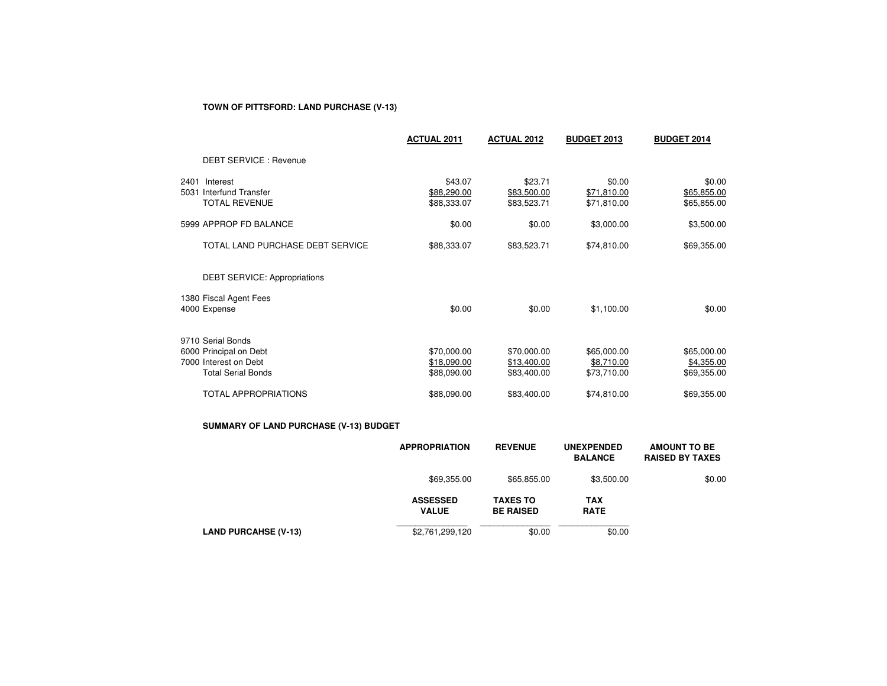# **TOWN OF PITTSFORD: LAND PURCHASE (V-13)**

|      |                                                                                                   | <b>ACTUAL 2011</b>                        | <b>ACTUAL 2012</b>                        | <b>BUDGET 2013</b>                       | <b>BUDGET 2014</b>                       |
|------|---------------------------------------------------------------------------------------------------|-------------------------------------------|-------------------------------------------|------------------------------------------|------------------------------------------|
|      | <b>DEBT SERVICE: Revenue</b>                                                                      |                                           |                                           |                                          |                                          |
| 2401 | Interest<br>5031 Interfund Transfer<br><b>TOTAL REVENUE</b>                                       | \$43.07<br>\$88,290.00<br>\$88,333.07     | \$23.71<br>\$83,500.00<br>\$83,523.71     | \$0.00<br>\$71,810.00<br>\$71,810.00     | \$0.00<br>\$65,855.00<br>\$65,855.00     |
|      | 5999 APPROP FD BALANCE                                                                            | \$0.00                                    | \$0.00                                    | \$3,000.00                               | \$3,500.00                               |
|      | TOTAL LAND PURCHASE DEBT SERVICE                                                                  | \$88,333.07                               | \$83,523.71                               | \$74,810.00                              | \$69,355.00                              |
|      | <b>DEBT SERVICE: Appropriations</b>                                                               |                                           |                                           |                                          |                                          |
|      | 1380 Fiscal Agent Fees<br>4000 Expense                                                            | \$0.00                                    | \$0.00                                    | \$1,100.00                               | \$0.00                                   |
|      | 9710 Serial Bonds<br>6000 Principal on Debt<br>7000 Interest on Debt<br><b>Total Serial Bonds</b> | \$70,000.00<br>\$18,090.00<br>\$88,090.00 | \$70,000.00<br>\$13,400.00<br>\$83,400.00 | \$65,000.00<br>\$8,710.00<br>\$73,710.00 | \$65,000.00<br>\$4,355.00<br>\$69,355.00 |
|      | <b>TOTAL APPROPRIATIONS</b>                                                                       | \$88,090.00                               | \$83,400.00                               | \$74,810.00                              | \$69,355.00                              |

## **SUMMARY OF LAND PURCHASE (V-13) BUDGET**

|                             | <b>APPROPRIATION</b>            | <b>REVENUE</b>                      | <b>UNEXPENDED</b><br><b>BALANCE</b> | <b>AMOUNT TO BE</b><br><b>RAISED BY TAXES</b> |
|-----------------------------|---------------------------------|-------------------------------------|-------------------------------------|-----------------------------------------------|
|                             | \$69,355.00                     | \$65,855.00                         | \$3,500.00                          | \$0.00                                        |
|                             | <b>ASSESSED</b><br><b>VALUE</b> | <b>TAXES TO</b><br><b>BE RAISED</b> | <b>TAX</b><br><b>RATE</b>           |                                               |
| <b>LAND PURCAHSE (V-13)</b> | \$2,761,299,120                 | \$0.00                              | \$0.00                              |                                               |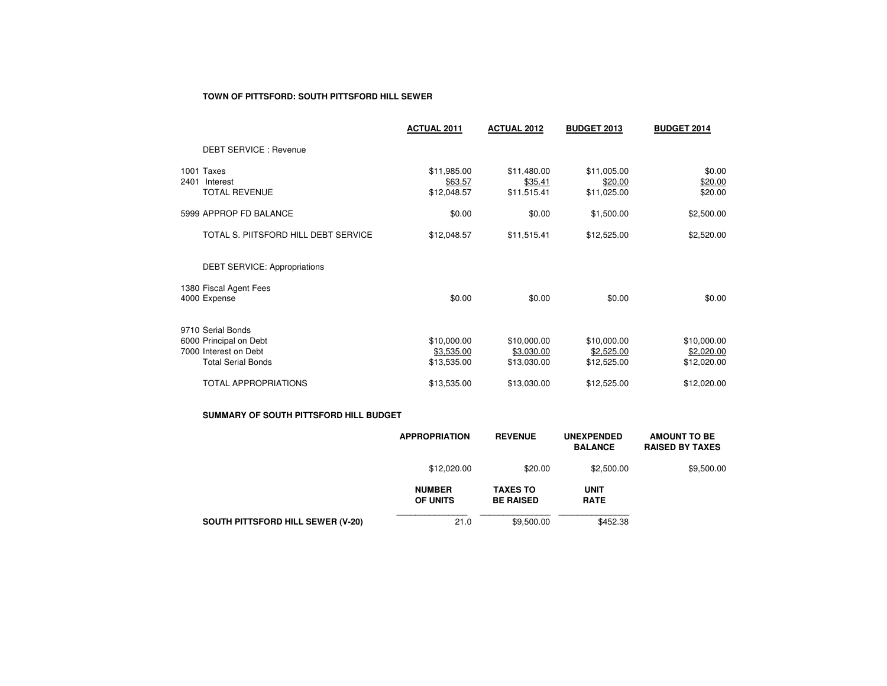### **TOWN OF PITTSFORD: SOUTH PITTSFORD HILL SEWER**

|      |                                                                                                   | <b>ACTUAL 2011</b>                       | <b>ACTUAL 2012</b>                       | <b>BUDGET 2013</b>                       | <b>BUDGET 2014</b>                       |
|------|---------------------------------------------------------------------------------------------------|------------------------------------------|------------------------------------------|------------------------------------------|------------------------------------------|
|      | <b>DEBT SERVICE: Revenue</b>                                                                      |                                          |                                          |                                          |                                          |
| 2401 | 1001 Taxes<br>Interest<br><b>TOTAL REVENUE</b>                                                    | \$11,985.00<br>\$63.57<br>\$12,048.57    | \$11,480.00<br>\$35.41<br>\$11,515.41    | \$11,005.00<br>\$20.00<br>\$11,025.00    | \$0.00<br>\$20.00<br>\$20.00             |
|      | 5999 APPROP FD BALANCE                                                                            | \$0.00                                   | \$0.00                                   | \$1,500.00                               | \$2,500.00                               |
|      | TOTAL S. PIITSFORD HILL DEBT SERVICE                                                              | \$12,048.57                              | \$11,515.41                              | \$12,525.00                              | \$2,520.00                               |
|      | <b>DEBT SERVICE: Appropriations</b>                                                               |                                          |                                          |                                          |                                          |
|      | 1380 Fiscal Agent Fees<br>4000 Expense                                                            | \$0.00                                   | \$0.00                                   | \$0.00                                   | \$0.00                                   |
|      | 9710 Serial Bonds<br>6000 Principal on Debt<br>7000 Interest on Debt<br><b>Total Serial Bonds</b> | \$10,000.00<br>\$3,535.00<br>\$13,535.00 | \$10,000.00<br>\$3,030.00<br>\$13,030.00 | \$10,000.00<br>\$2,525.00<br>\$12,525.00 | \$10,000.00<br>\$2,020.00<br>\$12,020.00 |
|      | <b>TOTAL APPROPRIATIONS</b>                                                                       | \$13,535.00                              | \$13,030.00                              | \$12,525.00                              | \$12,020.00                              |

### **SUMMARY OF SOUTH PITTSFORD HILL BUDGET**

|                                          | <b>APPROPRIATION</b>             | <b>REVENUE</b>                      | <b>UNEXPENDED</b><br><b>BALANCE</b> | <b>AMOUNT TO BE</b><br><b>RAISED BY TAXES</b> |
|------------------------------------------|----------------------------------|-------------------------------------|-------------------------------------|-----------------------------------------------|
|                                          | \$12,020.00                      | \$20.00                             | \$2,500.00                          | \$9,500.00                                    |
|                                          | <b>NUMBER</b><br><b>OF UNITS</b> | <b>TAXES TO</b><br><b>BE RAISED</b> | <b>UNIT</b><br><b>RATE</b>          |                                               |
| <b>SOUTH PITTSFORD HILL SEWER (V-20)</b> | 21.0                             | \$9.500.00                          | \$452.38                            |                                               |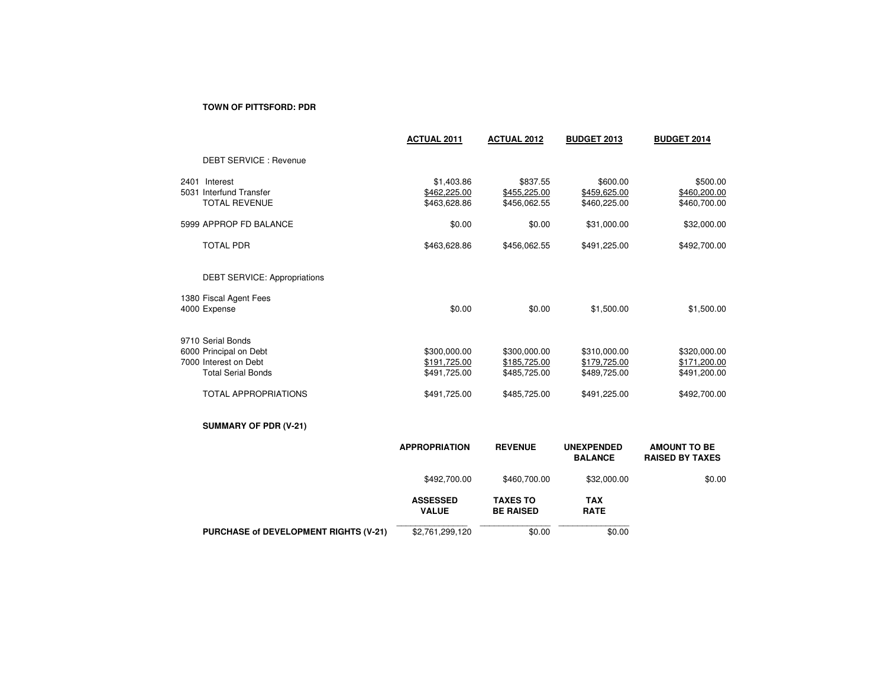## **TOWN OF PITTSFORD: PDR**

|                                                                                                                                  | <b>ACTUAL 2011</b>                                           | <b>ACTUAL 2012</b>                                           | <b>BUDGET 2013</b>                                           | <b>BUDGET 2014</b>                                           |
|----------------------------------------------------------------------------------------------------------------------------------|--------------------------------------------------------------|--------------------------------------------------------------|--------------------------------------------------------------|--------------------------------------------------------------|
| <b>DEBT SERVICE: Revenue</b>                                                                                                     |                                                              |                                                              |                                                              |                                                              |
| 2401 Interest<br>5031 Interfund Transfer<br><b>TOTAL REVENUE</b>                                                                 | \$1,403.86<br>\$462,225.00<br>\$463,628.86                   | \$837.55<br>\$455,225.00<br>\$456,062.55                     | \$600.00<br>\$459,625.00<br>\$460,225.00                     | \$500.00<br>\$460,200.00<br>\$460,700.00                     |
| 5999 APPROP FD BALANCE                                                                                                           | \$0.00                                                       | \$0.00                                                       | \$31,000.00                                                  | \$32,000.00                                                  |
| <b>TOTAL PDR</b>                                                                                                                 | \$463,628.86                                                 | \$456,062.55                                                 | \$491,225.00                                                 | \$492,700.00                                                 |
| <b>DEBT SERVICE: Appropriations</b>                                                                                              |                                                              |                                                              |                                                              |                                                              |
| 1380 Fiscal Agent Fees<br>4000 Expense                                                                                           | \$0.00                                                       | \$0.00                                                       | \$1,500.00                                                   | \$1,500.00                                                   |
| 9710 Serial Bonds<br>6000 Principal on Debt<br>7000 Interest on Debt<br><b>Total Serial Bonds</b><br><b>TOTAL APPROPRIATIONS</b> | \$300,000.00<br>\$191,725.00<br>\$491,725.00<br>\$491,725.00 | \$300,000.00<br>\$185,725.00<br>\$485,725.00<br>\$485,725.00 | \$310,000.00<br>\$179,725.00<br>\$489,725.00<br>\$491,225.00 | \$320,000.00<br>\$171,200.00<br>\$491,200.00<br>\$492,700.00 |
| SUMMARY OF PDR (V-21)                                                                                                            |                                                              |                                                              |                                                              |                                                              |
|                                                                                                                                  | <b>APPROPRIATION</b>                                         | <b>REVENUE</b>                                               | <b>UNEXPENDED</b><br><b>BALANCE</b>                          | <b>AMOUNT TO BE</b><br><b>RAISED BY TAXES</b>                |
|                                                                                                                                  | \$492,700.00                                                 | \$460,700.00                                                 | \$32,000.00                                                  | \$0.00                                                       |
|                                                                                                                                  | <b>ASSESSED</b><br><b>VALUE</b>                              | <b>TAXES TO</b><br><b>BE RAISED</b>                          | <b>TAX</b><br><b>RATE</b>                                    |                                                              |
| PURCHASE of DEVELOPMENT RIGHTS (V-21)                                                                                            | \$2,761,299,120                                              | \$0.00                                                       | \$0.00                                                       |                                                              |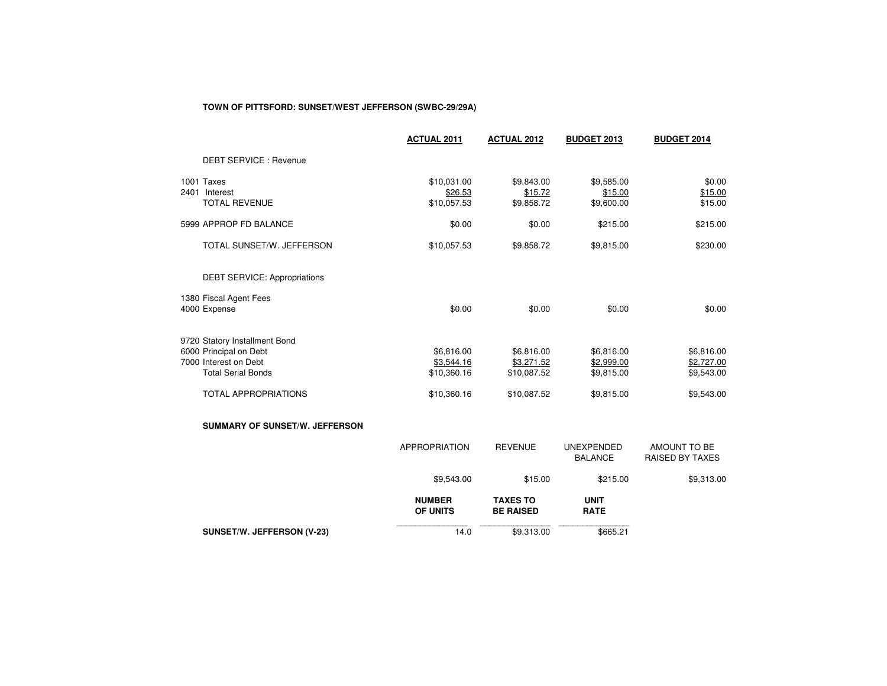## **TOWN OF PITTSFORD: SUNSET/WEST JEFFERSON (SWBC-29/29A)**

|                                                                                                                                              | <b>ACTUAL 2011</b>                                     | <b>ACTUAL 2012</b>                                     | <b>BUDGET 2013</b>                                   | <b>BUDGET 2014</b>                                   |
|----------------------------------------------------------------------------------------------------------------------------------------------|--------------------------------------------------------|--------------------------------------------------------|------------------------------------------------------|------------------------------------------------------|
| <b>DEBT SERVICE: Revenue</b>                                                                                                                 |                                                        |                                                        |                                                      |                                                      |
| 1001 Taxes<br>2401 Interest<br><b>TOTAL REVENUE</b>                                                                                          | \$10,031.00<br>\$26.53<br>\$10,057.53                  | \$9,843.00<br>\$15.72<br>\$9,858.72                    | \$9,585.00<br>\$15.00<br>\$9,600.00                  | \$0.00<br>\$15.00<br>\$15.00                         |
| 5999 APPROP FD BALANCE                                                                                                                       | \$0.00                                                 | \$0.00                                                 | \$215.00                                             | \$215.00                                             |
| TOTAL SUNSET/W. JEFFERSON                                                                                                                    | \$10,057.53                                            | \$9,858.72                                             | \$9,815.00                                           | \$230.00                                             |
| <b>DEBT SERVICE: Appropriations</b>                                                                                                          |                                                        |                                                        |                                                      |                                                      |
| 1380 Fiscal Agent Fees<br>4000 Expense                                                                                                       | \$0.00                                                 | \$0.00                                                 | \$0.00                                               | \$0.00                                               |
| 9720 Statory Installment Bond<br>6000 Principal on Debt<br>7000 Interest on Debt<br><b>Total Serial Bonds</b><br><b>TOTAL APPROPRIATIONS</b> | \$6,816.00<br>\$3,544.16<br>\$10,360.16<br>\$10,360.16 | \$6,816.00<br>\$3,271.52<br>\$10,087.52<br>\$10,087.52 | \$6,816.00<br>\$2,999.00<br>\$9,815.00<br>\$9,815.00 | \$6,816.00<br>\$2,727.00<br>\$9,543.00<br>\$9,543.00 |
| <b>SUMMARY OF SUNSET/W. JEFFERSON</b>                                                                                                        |                                                        |                                                        |                                                      |                                                      |
|                                                                                                                                              | <b>APPROPRIATION</b>                                   | <b>REVENUE</b>                                         | <b>UNEXPENDED</b><br><b>BALANCE</b>                  | AMOUNT TO BE<br>RAISED BY TAXES                      |
|                                                                                                                                              | \$9,543.00                                             | \$15.00                                                | \$215.00                                             | \$9,313.00                                           |
|                                                                                                                                              | <b>NUMBER</b><br>OF UNITS                              | <b>TAXES TO</b><br><b>BE RAISED</b>                    | <b>UNIT</b><br><b>RATE</b>                           |                                                      |
| SUNSET/W. JEFFERSON (V-23)                                                                                                                   | 14.0                                                   | \$9,313.00                                             | \$665.21                                             |                                                      |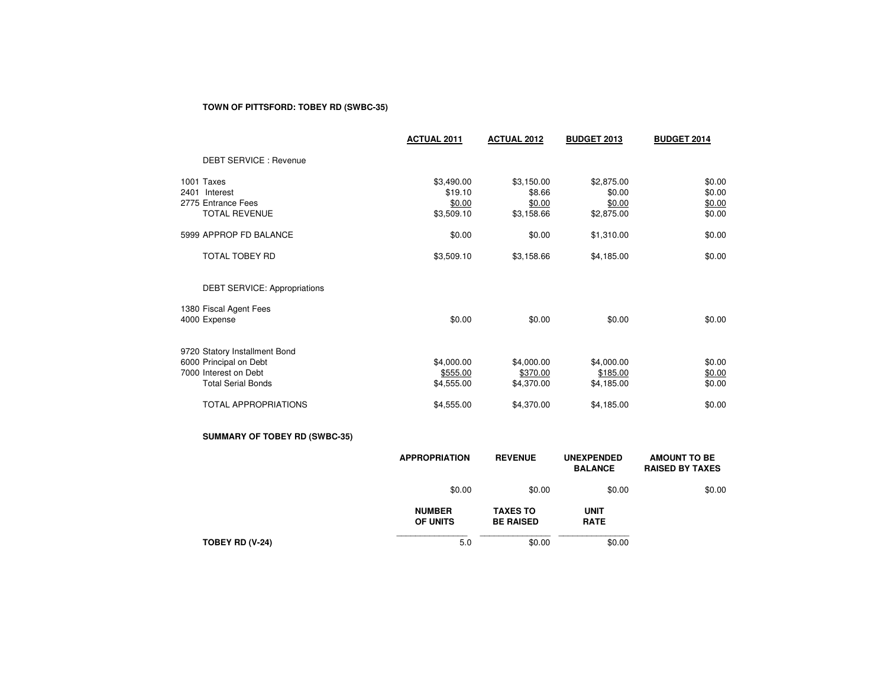# **TOWN OF PITTSFORD: TOBEY RD (SWBC-35)**

|                                                                                                               | <b>ACTUAL 2011</b>                            | <b>ACTUAL 2012</b>                           | <b>BUDGET 2013</b>                           | <b>BUDGET 2014</b>                            |
|---------------------------------------------------------------------------------------------------------------|-----------------------------------------------|----------------------------------------------|----------------------------------------------|-----------------------------------------------|
| <b>DEBT SERVICE: Revenue</b>                                                                                  |                                               |                                              |                                              |                                               |
| 1001 Taxes<br>2401 Interest<br>2775 Entrance Fees<br><b>TOTAL REVENUE</b>                                     | \$3,490.00<br>\$19.10<br>\$0.00<br>\$3,509.10 | \$3,150.00<br>\$8.66<br>\$0.00<br>\$3,158.66 | \$2,875.00<br>\$0.00<br>\$0.00<br>\$2,875.00 | \$0.00<br>\$0.00<br>\$0.00<br>\$0.00          |
| 5999 APPROP FD BALANCE                                                                                        | \$0.00                                        | \$0.00                                       | \$1,310.00                                   | \$0.00                                        |
| <b>TOTAL TOBEY RD</b>                                                                                         | \$3,509.10                                    | \$3,158.66                                   | \$4,185.00                                   | \$0.00                                        |
| <b>DEBT SERVICE: Appropriations</b>                                                                           |                                               |                                              |                                              |                                               |
| 1380 Fiscal Agent Fees<br>4000 Expense                                                                        | \$0.00                                        | \$0.00                                       | \$0.00                                       | \$0.00                                        |
| 9720 Statory Installment Bond<br>6000 Principal on Debt<br>7000 Interest on Debt<br><b>Total Serial Bonds</b> | \$4,000.00<br>\$555.00<br>\$4,555.00          | \$4,000.00<br>\$370.00<br>\$4,370.00         | \$4,000.00<br>\$185.00<br>\$4,185.00         | \$0.00<br>\$0.00<br>\$0.00                    |
| <b>TOTAL APPROPRIATIONS</b>                                                                                   | \$4,555.00                                    | \$4,370.00                                   | \$4,185.00                                   | \$0.00                                        |
| <b>SUMMARY OF TOBEY RD (SWBC-35)</b>                                                                          |                                               |                                              |                                              |                                               |
|                                                                                                               | <b>APPROPRIATION</b>                          | <b>REVENUE</b>                               | <b>UNEXPENDED</b><br><b>BALANCE</b>          | <b>AMOUNT TO BE</b><br><b>RAISED BY TAXES</b> |
|                                                                                                               | \$0.00                                        | \$0.00                                       | \$0.00                                       | \$0.00                                        |
|                                                                                                               | <b>NUMBER</b><br>OF UNITS                     | <b>TAXES TO</b><br><b>BE RAISED</b>          | <b>UNIT</b><br><b>RATE</b>                   |                                               |
| TOBEY RD (V-24)                                                                                               | 5.0                                           | \$0.00                                       | \$0.00                                       |                                               |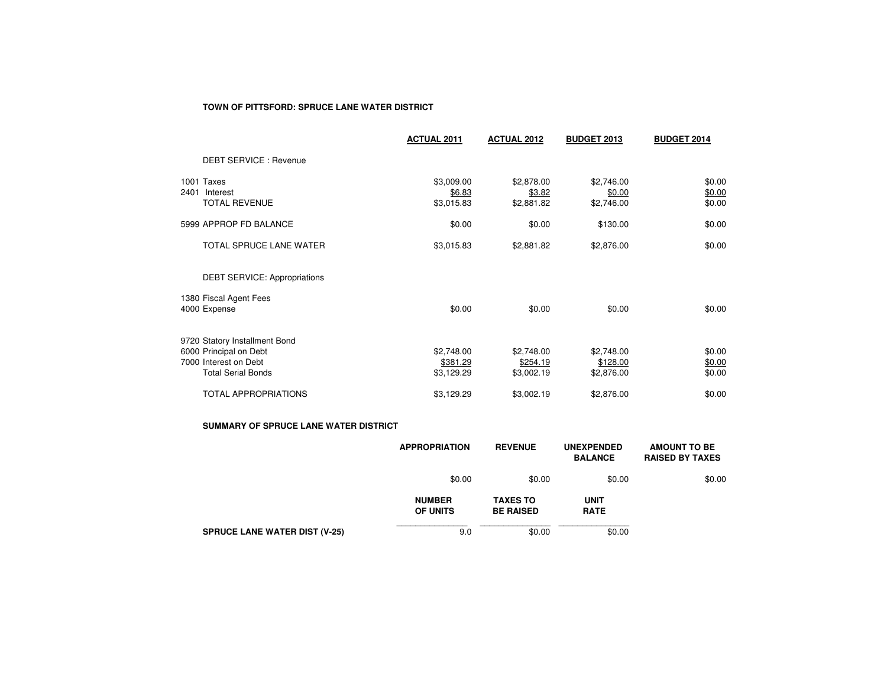#### **TOWN OF PITTSFORD: SPRUCE LANE WATER DISTRICT**

|      |                                                                                                               | <b>ACTUAL 2011</b>                   | <b>ACTUAL 2012</b>                   | <b>BUDGET 2013</b>                   | <b>BUDGET 2014</b>         |
|------|---------------------------------------------------------------------------------------------------------------|--------------------------------------|--------------------------------------|--------------------------------------|----------------------------|
|      | <b>DEBT SERVICE: Revenue</b>                                                                                  |                                      |                                      |                                      |                            |
| 2401 | 1001 Taxes<br>Interest<br><b>TOTAL REVENUE</b>                                                                | \$3,009.00<br>\$6.83<br>\$3,015.83   | \$2,878.00<br>\$3.82<br>\$2,881.82   | \$2,746.00<br>\$0.00<br>\$2,746.00   | \$0.00<br>\$0.00<br>\$0.00 |
|      | 5999 APPROP FD BALANCE                                                                                        | \$0.00                               | \$0.00                               | \$130.00                             | \$0.00                     |
|      | TOTAL SPRUCE LANE WATER                                                                                       | \$3,015.83                           | \$2,881.82                           | \$2,876.00                           | \$0.00                     |
|      | <b>DEBT SERVICE: Appropriations</b>                                                                           |                                      |                                      |                                      |                            |
|      | 1380 Fiscal Agent Fees<br>4000 Expense                                                                        | \$0.00                               | \$0.00                               | \$0.00                               | \$0.00                     |
|      | 9720 Statory Installment Bond<br>6000 Principal on Debt<br>7000 Interest on Debt<br><b>Total Serial Bonds</b> | \$2,748.00<br>\$381.29<br>\$3,129.29 | \$2,748.00<br>\$254.19<br>\$3,002.19 | \$2,748.00<br>\$128.00<br>\$2,876.00 | \$0.00<br>\$0.00<br>\$0.00 |
|      | <b>TOTAL APPROPRIATIONS</b>                                                                                   | \$3,129.29                           | \$3,002.19                           | \$2,876.00                           | \$0.00                     |

#### **SUMMARY OF SPRUCE LANE WATER DISTRICT**

|                                      | <b>APPROPRIATION</b>             | <b>REVENUE</b>                      | <b>UNEXPENDED</b><br><b>BALANCE</b> | <b>AMOUNT TO BE</b><br><b>RAISED BY TAXES</b> |
|--------------------------------------|----------------------------------|-------------------------------------|-------------------------------------|-----------------------------------------------|
|                                      | \$0.00                           | \$0.00                              | \$0.00                              | \$0.00                                        |
|                                      | <b>NUMBER</b><br><b>OF UNITS</b> | <b>TAXES TO</b><br><b>BE RAISED</b> | <b>UNIT</b><br><b>RATE</b>          |                                               |
| <b>SPRUCE LANE WATER DIST (V-25)</b> | 9.0                              | \$0.00                              | \$0.00                              |                                               |